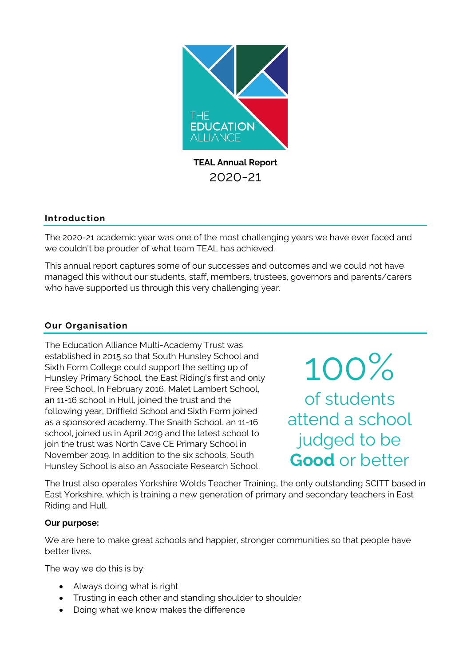

## **Introduction**

The 2020-21 academic year was one of the most challenging years we have ever faced and we couldn't be prouder of what team TEAL has achieved.

This annual report captures some of our successes and outcomes and we could not have managed this without our students, staff, members, trustees, governors and parents/carers who have supported us through this very challenging year.

## **Our Organisation**

The Education Alliance Multi-Academy Trust was established in 2015 so that South Hunsley School and Sixth Form College could support the setting up of Hunsley Primary School, the East Riding's first and only Free School. In February 2016, Malet Lambert School, an 11-16 school in Hull, joined the trust and the following year, Driffield School and Sixth Form joined as a sponsored academy. The Snaith School, an 11-16 school, joined us in April 2019 and the latest school to join the trust was North Cave CE Primary School in November 2019. In addition to the six schools, South Hunsley School is also an Associate Research School.

100% of students attend a school judged to be **Good** or better

The trust also operates Yorkshire Wolds Teacher Training, the only outstanding SCITT based in East Yorkshire, which is training a new generation of primary and secondary teachers in East Riding and Hull.

## **Our purpose:**

We are here to make great schools and happier, stronger communities so that people have better lives.

The way we do this is by:

- Always doing what is right
- Trusting in each other and standing shoulder to shoulder
- Doing what we know makes the difference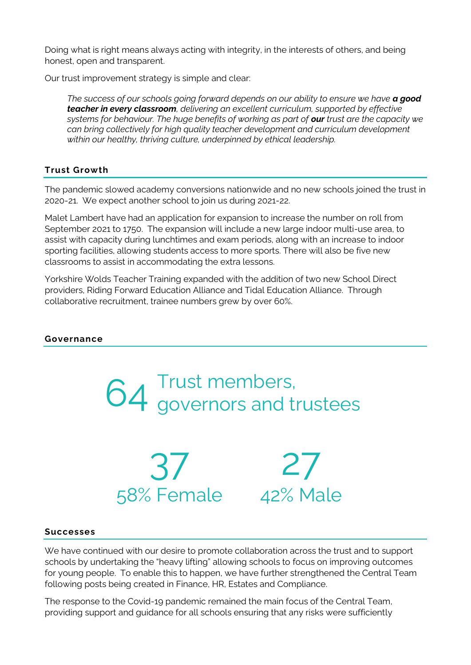Doing what is right means always acting with integrity, in the interests of others, and being honest, open and transparent.

Our trust improvement strategy is simple and clear:

*The success of our schools going forward depends on our ability to ensure we have a good teacher in every classroom, delivering an excellent curriculum, supported by effective systems for behaviour. The huge benefits of working as part of our trust are the capacity we can bring collectively for high quality teacher development and curriculum development within our healthy, thriving culture, underpinned by ethical leadership.*

## **Trust Growth**

The pandemic slowed academy conversions nationwide and no new schools joined the trust in 2020-21. We expect another school to join us during 2021-22.

Malet Lambert have had an application for expansion to increase the number on roll from September 2021 to 1750. The expansion will include a new large indoor multi-use area, to assist with capacity during lunchtimes and exam periods, along with an increase to indoor sporting facilities, allowing students access to more sports. There will also be five new classrooms to assist in accommodating the extra lessons.

Yorkshire Wolds Teacher Training expanded with the addition of two new School Direct providers, Riding Forward Education Alliance and Tidal Education Alliance. Through collaborative recruitment, trainee numbers grew by over 60%.

## **Governance**





27 42% Male

## **Successes**

We have continued with our desire to promote collaboration across the trust and to support schools by undertaking the "heavy lifting" allowing schools to focus on improving outcomes for young people. To enable this to happen, we have further strengthened the Central Team following posts being created in Finance, HR, Estates and Compliance.

The response to the Covid-19 pandemic remained the main focus of the Central Team, providing support and guidance for all schools ensuring that any risks were sufficiently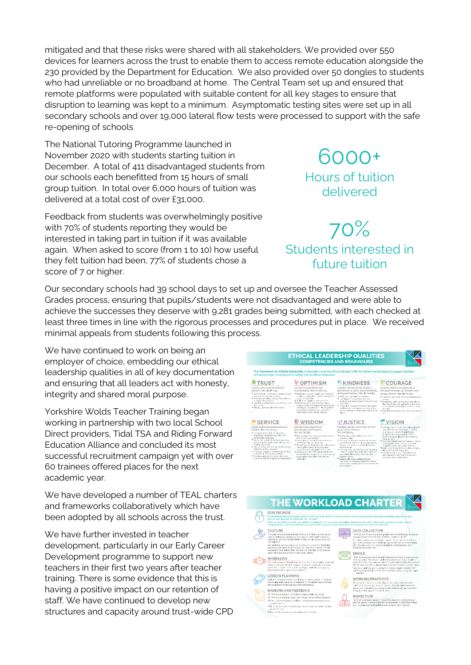mitigated and that these risks were shared with all stakeholders. We provided over 550 devices for learners across the trust to enable them to access remote education alongside the 230 provided by the Department for Education. We also provided over 50 dongles to students who had unreliable or no broadband at home. The Central Team set up and ensured that remote platforms were populated with suitable content for all key stages to ensure that disruption to learning was kept to a minimum. Asymptomatic testing sites were set up in all secondary schools and over 19,000 lateral flow tests were processed to support with the safe re-opening of schools.

The National Tutoring Programme launched in November 2020 with students starting tuition in December. A total of 411 disadvantaged students from our schools each benefitted from 15 hours of small group tuition. In total over 6,000 hours of tuition was delivered at a total cost of over £31,000.

Feedback from students was overwhelmingly positive with 70% of students reporting they would be interested in taking part in tuition if it was available again. When asked to score (from 1 to 10) how useful they felt tuition had been, 77% of students chose a score of 7 or higher.

Our secondary schools had 39 school days to set up and oversee the Teacher Assessed Grades process, ensuring that pupils/students were not disadvantaged and were able to achieve the successes they deserve with 9,281 grades being submitted, with each checked at least three times in line with the rigorous processes and procedures put in place. We received minimal appeals from students following this process.

We have continued to work on being an employer of choice, embedding our ethical leadership qualities in all of key documentation and ensuring that all leaders act with honesty, integrity and shared moral purpose.

Yorkshire Wolds Teacher Training began working in partnership with two local School Direct providers, Tidal TSA and Riding Forward Education Alliance and concluded its most successful recruitment campaign yet with over 60 trainees offered places for the next academic year.

We have developed a number of TEAL charters and frameworks collaboratively which have been adopted by all schools across the trust.

We have further invested in teacher development, particularly in our Early Career Development programme to support new teachers in their first two years after teacher training. There is some evidence that this is having a positive impact on our retention of staff. We have continued to develop new structures and capacity around trust-wide CPD

| <b>OTRUST</b>                                                                                                                                                                                                                                                                                                                                                                                                                                                                                                                                     | in their decision-making and in calling out unethical behaviour:<br><b>MOPTIMISM</b>                                                                                                                                                                                                                                                                                                                                                                                                                           | <b>C</b> KINDNESS                                                                                                                                                                                                                                                                                                                                                                                                                                                                                                                                                                                              | COURAGE                                                                                                                                                                                                                                                                                                                                                                                                                                                                                                                                                                           |  |
|---------------------------------------------------------------------------------------------------------------------------------------------------------------------------------------------------------------------------------------------------------------------------------------------------------------------------------------------------------------------------------------------------------------------------------------------------------------------------------------------------------------------------------------------------|----------------------------------------------------------------------------------------------------------------------------------------------------------------------------------------------------------------------------------------------------------------------------------------------------------------------------------------------------------------------------------------------------------------------------------------------------------------------------------------------------------------|----------------------------------------------------------------------------------------------------------------------------------------------------------------------------------------------------------------------------------------------------------------------------------------------------------------------------------------------------------------------------------------------------------------------------------------------------------------------------------------------------------------------------------------------------------------------------------------------------------------|-----------------------------------------------------------------------------------------------------------------------------------------------------------------------------------------------------------------------------------------------------------------------------------------------------------------------------------------------------------------------------------------------------------------------------------------------------------------------------------------------------------------------------------------------------------------------------------|--|
| Leaders are trustworthy and<br>reliable. We do this by:<br>* Seine reliable consistent excittle herrest<br>humber, concernent and kind.<br>* No auto en dions out bodin chers to<br>manage their emotions.<br>The unstable consists and coincident volumes.<br>very will dis-<br>Ti Having a garrung late vette others<br><b>SERVICE</b>                                                                                                                                                                                                          | Leaders are positive and<br>encouraging. We do this by<br>* Delice incliniour own ability, and the ability<br>of others, to do ehat is intritionchance the<br>would for the better.<br>mobility beautifulness tuoristic F.<br>* Permining position and encouraging<br>closuit e surrent mas expanent that set acides,<br>challenges and pressures. He citing offices<br>to maximize opportunities, overcome<br>challenges and on abstite success.<br><b>◆ WISDOM</b>                                           | Leaders demonstrate respect.<br>aenerosity of spirit, understanding<br>and good temper. We do this by .<br>* Fernishd bunde and authentic<br>* Leading with comparation and care.<br>ilvaning and walng brannd the lebie to<br>choose off.<br>* Using high-ovels of perotional intelligence.<br>sulding thus and report with street by<br>acient-students, empowering and cleveling<br>others.<br>부 JUSTICE                                                                                                                                                                                                    | Leaders work courageously in<br>the best interests of children and<br>young people. We do this by<br>If Looking in the mirror when so neithing gees<br>erono<br>* Remaring colm, operistic and positive in-<br>the few of edversity adapting to changing<br>circumstances and helping corrers to move<br>forward.<br>* Go the whole mills the back-stream the<br>Why<br>* VISION                                                                                                                                                                                                  |  |
| Leaders are conscientious and<br>datiful. We do this by<br>The including their arguments are automobile<br>creanisation by model and calm and<br>considerate pehavour.<br>* Sensympline dutiful, conscientious was,<br>demancialists humi leverandi-exclusio-<br>inclubased schools.<br>* Removing barriers and ploceers to enable<br>others to conthair inter wall.<br>political considers to anony of the con-<br>questions in the service of others<br>30 Channel a minitive into our seasons net-<br>currences and acordoning our successors. | Leaders use experience.<br>knowledge and insight.<br>We do this by<br>* Developing knowledge and real expertise.<br>then when inclusive edities<br>Sna available walstern motion in Fil<br>achtilt incrediations are another<br>* Pack ibing excelled pagh a, skill ad ascureb,<br>lacreing from them, embracing thair<br>aspected and helping them to figurith<br>T vicema senaris, natitads madals and<br>techniques as a means to an end removing.<br>or cronging them if they prove to be<br>intification. | Leaders are fair and work for the<br>good of all children.<br>We do this by<br>* Doha what is right nather then what is<br>mento e mose<br>"I Ensuring we like and breather currences of<br>purcess and values in the way are person.<br>interact with others, make decisions and<br>commetizato.<br>* Hosings called any secondary and applying<br>them in a consistent, an recovert and fair.<br>was, whilst allowing for a specian and<br>common screes.<br>* Valuing difference, publing diverse<br>agens and encouraging others to behave<br>recorrelate creative description the end fre-<br>environment | % Anticipating the future and religios people.<br>reacy themselves for change. Thinking<br>strategica.st respecting gathering.<br>attributer and aggregate information.<br>werking opportunities for cager is aliceus.<br>careating result.<br>* Scen the horizon, read and research, share-<br>Horshrowlin of her vind on approba to<br>consider potters, physpies and rises.<br>* Ballong in the patent allor others halping<br>them perhebast they can ba.<br>the relationship war in probably if F<br>translating that into recommendations.<br>consists, class and activity. |  |



6000+ Hours of tuition

delivered

70% Students interested in future tuition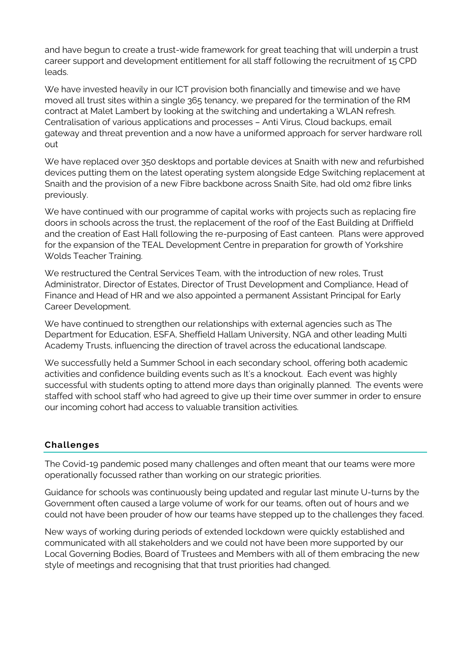and have begun to create a trust-wide framework for great teaching that will underpin a trust career support and development entitlement for all staff following the recruitment of 15 CPD leads.

We have invested heavily in our ICT provision both financially and timewise and we have moved all trust sites within a single 365 tenancy, we prepared for the termination of the RM contract at Malet Lambert by looking at the switching and undertaking a WLAN refresh. Centralisation of various applications and processes – Anti Virus, Cloud backups, email gateway and threat prevention and a now have a uniformed approach for server hardware roll out

We have replaced over 350 desktops and portable devices at Snaith with new and refurbished devices putting them on the latest operating system alongside Edge Switching replacement at Snaith and the provision of a new Fibre backbone across Snaith Site, had old om2 fibre links previously.

We have continued with our programme of capital works with projects such as replacing fire doors in schools across the trust, the replacement of the roof of the East Building at Driffield and the creation of East Hall following the re-purposing of East canteen. Plans were approved for the expansion of the TEAL Development Centre in preparation for growth of Yorkshire Wolds Teacher Training.

We restructured the Central Services Team, with the introduction of new roles, Trust Administrator, Director of Estates, Director of Trust Development and Compliance, Head of Finance and Head of HR and we also appointed a permanent Assistant Principal for Early Career Development.

We have continued to strengthen our relationships with external agencies such as The Department for Education, ESFA, Sheffield Hallam University, NGA and other leading Multi Academy Trusts, influencing the direction of travel across the educational landscape.

We successfully held a Summer School in each secondary school, offering both academic activities and confidence building events such as It's a knockout. Each event was highly successful with students opting to attend more days than originally planned. The events were staffed with school staff who had agreed to give up their time over summer in order to ensure our incoming cohort had access to valuable transition activities.

# **Challenges**

The Covid-19 pandemic posed many challenges and often meant that our teams were more operationally focussed rather than working on our strategic priorities.

Guidance for schools was continuously being updated and regular last minute U-turns by the Government often caused a large volume of work for our teams, often out of hours and we could not have been prouder of how our teams have stepped up to the challenges they faced.

New ways of working during periods of extended lockdown were quickly established and communicated with all stakeholders and we could not have been more supported by our Local Governing Bodies, Board of Trustees and Members with all of them embracing the new style of meetings and recognising that that trust priorities had changed.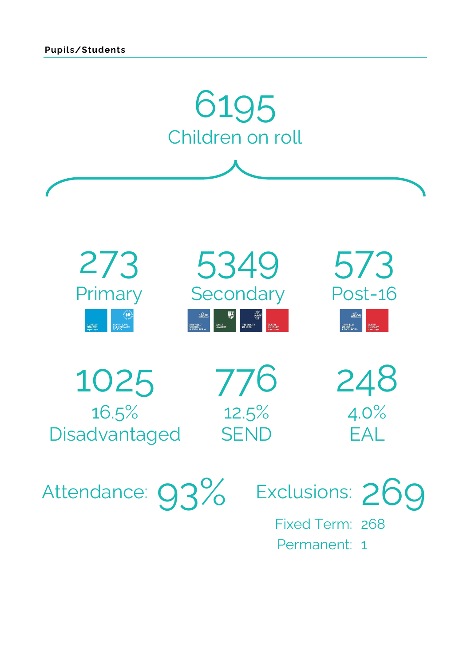

Fixed Term: 268 Permanent: 1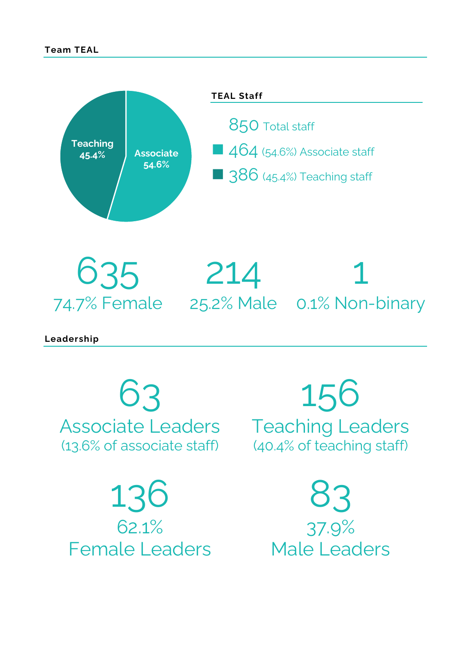

635 74.7% Female 25.2% Male 0.1% Non-binary 214 1

**Leadership**

63 Associate Leaders (13.6% of associate staff)

136 62.1% Female Leaders

156 Teaching Leaders (40.4% of teaching staff)

> 83 37.9% Male Leaders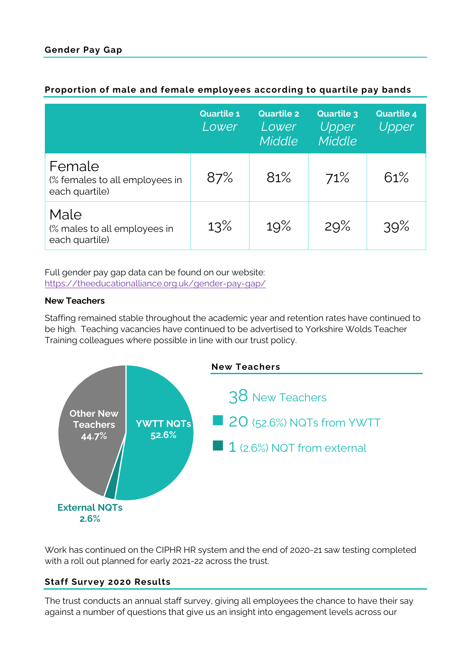|                                                            | <b>Quartile 1</b><br>Lower | <b>Quartile 2</b><br>Lower<br>Middle | <b>Quartile 3</b><br>Upper<br>Middle | <b>Quartile 4</b><br>Upper |
|------------------------------------------------------------|----------------------------|--------------------------------------|--------------------------------------|----------------------------|
| Female<br>(% females to all employees in<br>each quartile) | 87%                        | 81%                                  | 71%                                  | 61%                        |
| Male<br>(% males to all employees in<br>each quartile)     | 13%                        | 19%                                  | 29%                                  | 39%                        |

## **Proportion of male and female employees according to quartile pay bands**

Full gender pay gap data can be found on our website: <https://theeducationalliance.org.uk/gender-pay-gap/>

# **New Teachers**

Staffing remained stable throughout the academic year and retention rates have continued to be high. Teaching vacancies have continued to be advertised to Yorkshire Wolds Teacher Training colleagues where possible in line with our trust policy.



Work has continued on the CIPHR HR system and the end of 2020-21 saw testing completed with a roll out planned for early 2021-22 across the trust.

# **Staff Survey 2020 Results**

The trust conducts an annual staff survey, giving all employees the chance to have their say against a number of questions that give us an insight into engagement levels across our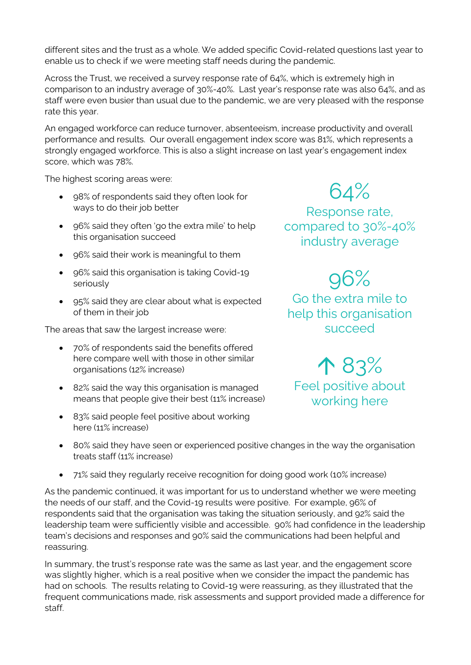different sites and the trust as a whole. We added specific Covid-related questions last year to enable us to check if we were meeting staff needs during the pandemic.

Across the Trust, we received a survey response rate of 64%, which is extremely high in comparison to an industry average of 30%-40%. Last year's response rate was also 64%, and as staff were even busier than usual due to the pandemic, we are very pleased with the response rate this year.

An engaged workforce can reduce turnover, absenteeism, increase productivity and overall performance and results. Our overall engagement index score was 81%, which represents a strongly engaged workforce. This is also a slight increase on last year's engagement index score, which was 78%.

The highest scoring areas were:

- 98% of respondents said they often look for ways to do their job better
- 96% said they often 'go the extra mile' to help this organisation succeed
- 96% said their work is meaningful to them
- 96% said this organisation is taking Covid-19 seriously
- 95% said they are clear about what is expected of them in their job

The areas that saw the largest increase were:

- 70% of respondents said the benefits offered here compare well with those in other similar organisations (12% increase)
- 82% said the way this organisation is managed means that people give their best (11% increase)
- 83% said people feel positive about working here (11% increase)

# 64%

Response rate, compared to 30%-40% industry average

96% Go the extra mile to help this organisation succeed

 83% Feel positive about working here

- 80% said they have seen or experienced positive changes in the way the organisation treats staff (11% increase)
- 71% said they regularly receive recognition for doing good work (10% increase)

As the pandemic continued, it was important for us to understand whether we were meeting the needs of our staff, and the Covid-19 results were positive. For example, 96% of respondents said that the organisation was taking the situation seriously, and 92% said the leadership team were sufficiently visible and accessible. 90% had confidence in the leadership team's decisions and responses and 90% said the communications had been helpful and reassuring.

In summary, the trust's response rate was the same as last year, and the engagement score was slightly higher, which is a real positive when we consider the impact the pandemic has had on schools. The results relating to Covid-19 were reassuring, as they illustrated that the frequent communications made, risk assessments and support provided made a difference for staff.